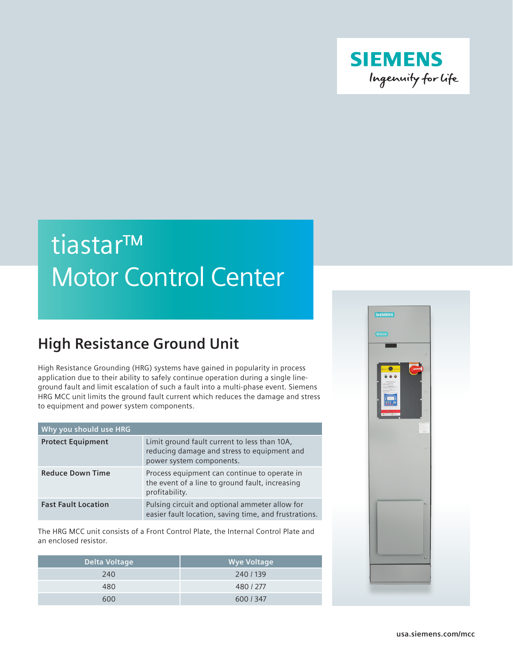

## tiastar™ Motor Control Center

## **High Resistance Ground Unit**

High Resistance Grounding (HRG) systems have gained in popularity in process application due to their ability to safely continue operation during a single lineground fault and limit escalation of such a fault into a multi-phase event. Siemens HRG MCC unit limits the ground fault current which reduces the damage and stress to equipment and power system components.

| Why you should use HRG     |                                                                                                                         |
|----------------------------|-------------------------------------------------------------------------------------------------------------------------|
| <b>Protect Equipment</b>   | Limit ground fault current to less than 10A,<br>reducing damage and stress to equipment and<br>power system components. |
| <b>Reduce Down Time</b>    | Process equipment can continue to operate in<br>the event of a line to ground fault, increasing<br>profitability.       |
| <b>Fast Fault Location</b> | Pulsing circuit and optional ammeter allow for<br>easier fault location, saving time, and frustrations.                 |

The HRG MCC unit consists of a Front Control Plate, the Internal Control Plate and an enclosed resistor.

| Delta Voltage | <b>Wye Voltage</b> |
|---------------|--------------------|
| 240           | 240 / 139          |
| 480           | 480 / 277          |
| 600           | 600 / 347          |